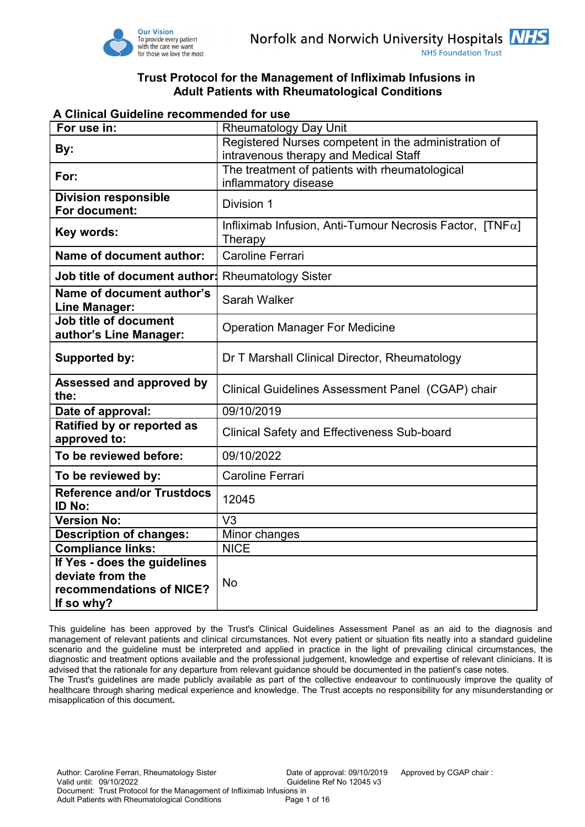#### **A Clinical Guideline recommended for use**

| For use in:                                                                                | <b>Rheumatology Day Unit</b>                                                                  |  |
|--------------------------------------------------------------------------------------------|-----------------------------------------------------------------------------------------------|--|
| By:                                                                                        | Registered Nurses competent in the administration of<br>intravenous therapy and Medical Staff |  |
| For:                                                                                       | The treatment of patients with rheumatological<br>inflammatory disease                        |  |
| <b>Division responsible</b><br>For document:                                               | Division 1                                                                                    |  |
| Key words:                                                                                 | Infliximab Infusion, Anti-Tumour Necrosis Factor, $[TNF\alpha]$<br>Therapy                    |  |
| Name of document author:                                                                   | <b>Caroline Ferrari</b>                                                                       |  |
| Job title of document author!                                                              | <b>Rheumatology Sister</b>                                                                    |  |
| Name of document author's<br>Line Manager:                                                 | Sarah Walker                                                                                  |  |
| Job title of document<br>author's Line Manager:                                            | <b>Operation Manager For Medicine</b>                                                         |  |
| <b>Supported by:</b>                                                                       | Dr T Marshall Clinical Director, Rheumatology                                                 |  |
| Assessed and approved by<br>the:                                                           | Clinical Guidelines Assessment Panel (CGAP) chair                                             |  |
| Date of approval:                                                                          | 09/10/2019                                                                                    |  |
| Ratified by or reported as<br>approved to:                                                 | <b>Clinical Safety and Effectiveness Sub-board</b>                                            |  |
| To be reviewed before:                                                                     | 09/10/2022                                                                                    |  |
| To be reviewed by:                                                                         | Caroline Ferrari                                                                              |  |
| <b>Reference and/or Trustdocs</b><br><b>ID No:</b>                                         | 12045                                                                                         |  |
| <b>Version No:</b>                                                                         | V <sub>3</sub>                                                                                |  |
| <b>Description of changes:</b>                                                             | Minor changes                                                                                 |  |
| <b>Compliance links:</b>                                                                   | <b>NICE</b>                                                                                   |  |
| If Yes - does the guidelines<br>deviate from the<br>recommendations of NICE?<br>If so why? | <b>No</b>                                                                                     |  |

This guideline has been approved by the Trust's Clinical Guidelines Assessment Panel as an aid to the diagnosis and management of relevant patients and clinical circumstances. Not every patient or situation fits neatly into a standard guideline scenario and the guideline must be interpreted and applied in practice in the light of prevailing clinical circumstances, the diagnostic and treatment options available and the professional judgement, knowledge and expertise of relevant clinicians. It is advised that the rationale for any departure from relevant guidance should be documented in the patient's case notes.

The Trust's guidelines are made publicly available as part of the collective endeavour to continuously improve the quality of healthcare through sharing medical experience and knowledge. The Trust accepts no responsibility for any misunderstanding or misapplication of this document**.**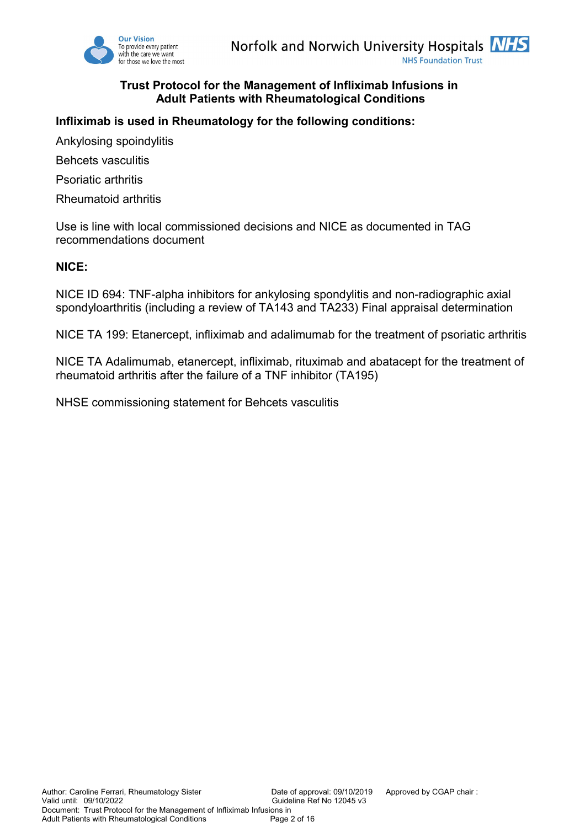

**Infliximab is used in Rheumatology for the following conditions:**

Ankylosing spoindylitis

Behcets vasculitis

Psoriatic arthritis

Rheumatoid arthritis

Use is line with local commissioned decisions and NICE as documented in TAG recommendations document

### **NICE:**

NICE ID 694: TNF-alpha inhibitors for ankylosing spondylitis and non-radiographic axial spondyloarthritis (including a review of TA143 and TA233) Final appraisal determination

NICE TA 199: Etanercept, infliximab and adalimumab for the treatment of psoriatic arthritis

NICE TA Adalimumab, etanercept, infliximab, rituximab and abatacept for the treatment of rheumatoid arthritis after the failure of a TNF inhibitor (TA195)

NHSE commissioning statement for Behcets vasculitis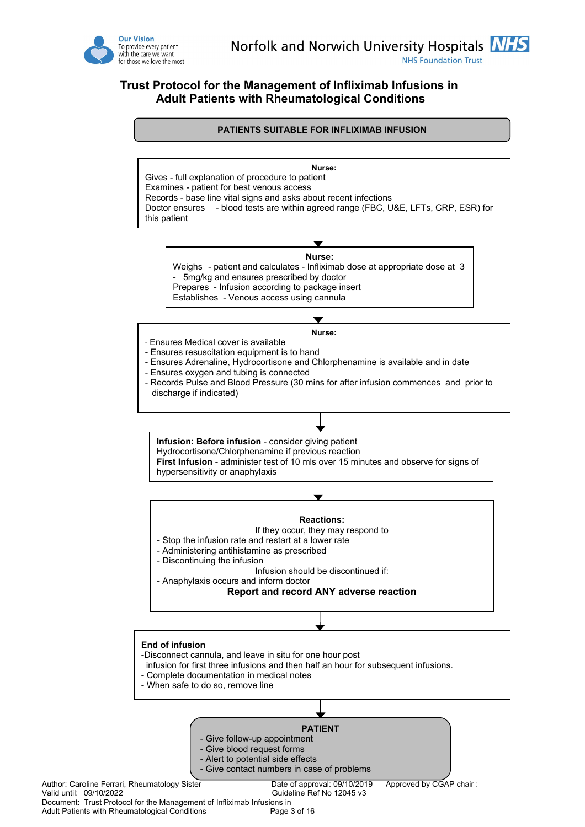

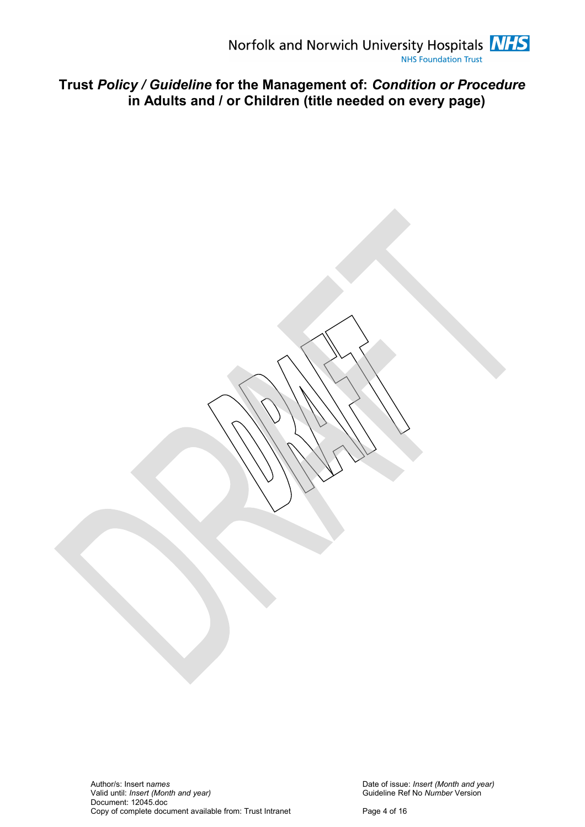**Trust** *Policy / Guideline* **for the Management of:** *Condition or Procedure* **in Adults and / or Children (title needed on every page)**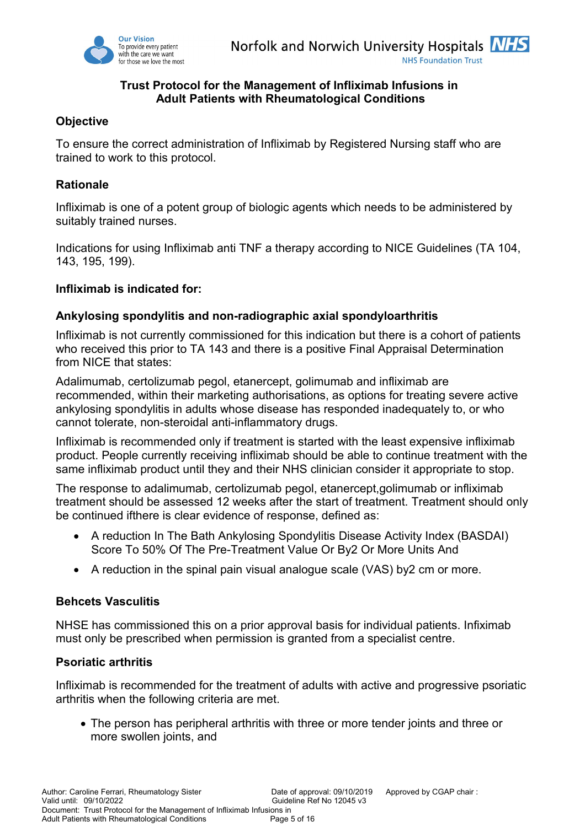

### **Objective**

To ensure the correct administration of Infliximab by Registered Nursing staff who are trained to work to this protocol.

### **Rationale**

Infliximab is one of a potent group of biologic agents which needs to be administered by suitably trained nurses.

Indications for using Infliximab anti TNF a therapy according to NICE Guidelines (TA 104, 143, 195, 199).

### **Infliximab is indicated for:**

# **Ankylosing spondylitis and non-radiographic axial spondyloarthritis**

Infliximab is not currently commissioned for this indication but there is a cohort of patients who received this prior to TA 143 and there is a positive Final Appraisal Determination from NICE that states:

Adalimumab, certolizumab pegol, etanercept, golimumab and infliximab are recommended, within their marketing authorisations, as options for treating severe active ankylosing spondylitis in adults whose disease has responded inadequately to, or who cannot tolerate, non-steroidal anti-inflammatory drugs.

Infliximab is recommended only if treatment is started with the least expensive infliximab product. People currently receiving infliximab should be able to continue treatment with the same infliximab product until they and their NHS clinician consider it appropriate to stop.

The response to adalimumab, certolizumab pegol, etanercept,golimumab or infliximab treatment should be assessed 12 weeks after the start of treatment. Treatment should only be continued ifthere is clear evidence of response, defined as:

- A reduction In The Bath Ankylosing Spondylitis Disease Activity Index (BASDAI) Score To 50% Of The Pre-Treatment Value Or By2 Or More Units And
- A reduction in the spinal pain visual analogue scale (VAS) by2 cm or more.

# **Behcets Vasculitis**

NHSE has commissioned this on a prior approval basis for individual patients. Infiximab must only be prescribed when permission is granted from a specialist centre.

### **Psoriatic arthritis**

Infliximab is recommended for the treatment of adults with active and progressive psoriatic arthritis when the following criteria are met.

 The person has peripheral arthritis with three or more tender joints and three or more swollen joints, and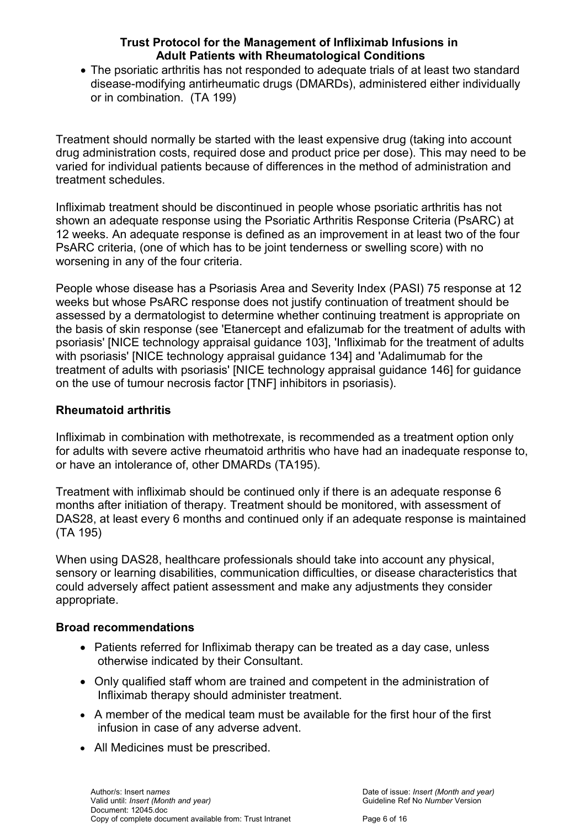The psoriatic arthritis has not responded to adequate trials of at least two standard disease-modifying antirheumatic drugs (DMARDs), administered either individually or in combination. (TA 199)

Treatment should normally be started with the least expensive drug (taking into account drug administration costs, required dose and product price per dose). This may need to be varied for individual patients because of differences in the method of administration and treatment schedules.

Infliximab treatment should be discontinued in people whose psoriatic arthritis has not shown an adequate response using the Psoriatic Arthritis Response Criteria (PsARC) at 12 weeks. An adequate response is defined as an improvement in at least two of the four PsARC criteria, (one of which has to be joint tenderness or swelling score) with no worsening in any of the four criteria.

People whose disease has a Psoriasis Area and Severity Index (PASI) 75 response at 12 weeks but whose PsARC response does not justify continuation of treatment should be assessed by a dermatologist to determine whether continuing treatment is appropriate on the basis of skin response (see 'Etanercept and efalizumab for the treatment of adults with psoriasis' [NICE technology appraisal guidance 103], 'Infliximab for the treatment of adults with psoriasis' [NICE technology appraisal guidance 134] and 'Adalimumab for the treatment of adults with psoriasis' [NICE technology appraisal guidance 146] for guidance on the use of tumour necrosis factor [TNF] inhibitors in psoriasis).

### **Rheumatoid arthritis**

Infliximab in combination with methotrexate, is recommended as a treatment option only for adults with severe active rheumatoid arthritis who have had an inadequate response to, or have an intolerance of, other DMARDs (TA195).

Treatment with infliximab should be continued only if there is an adequate response 6 months after initiation of therapy. Treatment should be monitored, with assessment of DAS28, at least every 6 months and continued only if an adequate response is maintained (TA 195)

When using DAS28, healthcare professionals should take into account any physical. sensory or learning disabilities, communication difficulties, or disease characteristics that could adversely affect patient assessment and make any adjustments they consider appropriate.

### **Broad recommendations**

- Patients referred for Infliximab therapy can be treated as a day case, unless otherwise indicated by their Consultant.
- Only qualified staff whom are trained and competent in the administration of Infliximab therapy should administer treatment.
- A member of the medical team must be available for the first hour of the first infusion in case of any adverse advent.
- All Medicines must be prescribed.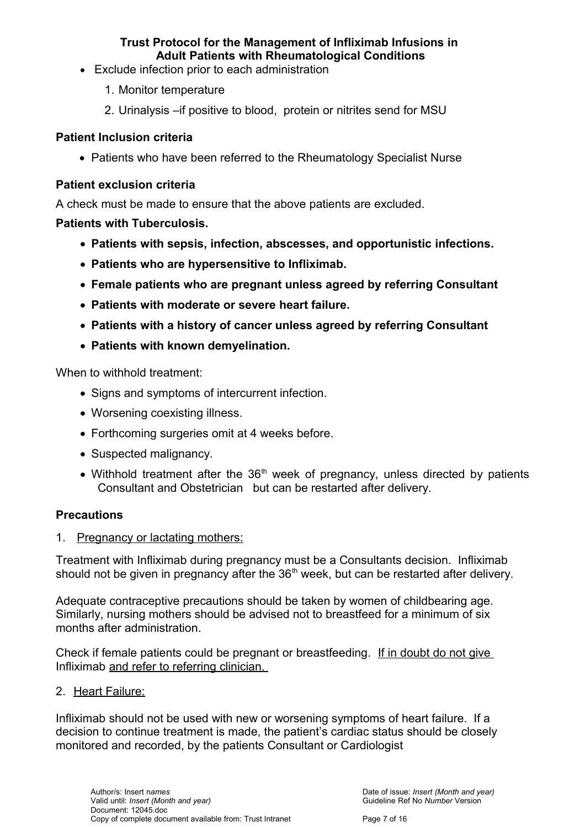- Exclude infection prior to each administration
	- 1. Monitor temperature
	- 2. Urinalysis –if positive to blood, protein or nitrites send for MSU

# **Patient Inclusion criteria**

Patients who have been referred to the Rheumatology Specialist Nurse

# **Patient exclusion criteria**

A check must be made to ensure that the above patients are excluded.

# **Patients with Tuberculosis.**

- **Patients with sepsis, infection, abscesses, and opportunistic infections.**
- **Patients who are hypersensitive to Infliximab.**
- **Female patients who are pregnant unless agreed by referring Consultant**
- **Patients with moderate or severe heart failure.**
- **Patients with a history of cancer unless agreed by referring Consultant**
- **Patients with known demyelination.**

When to withhold treatment:

- Signs and symptoms of intercurrent infection.
- Worsening coexisting illness.
- Forthcoming surgeries omit at 4 weeks before.
- Suspected malignancy.
- $\bullet$  Withhold treatment after the 36<sup>th</sup> week of pregnancy, unless directed by patients Consultant and Obstetrician but can be restarted after delivery.

# **Precautions**

1. Pregnancy or lactating mothers:

Treatment with Infliximab during pregnancy must be a Consultants decision. Infliximab should not be given in pregnancy after the 36<sup>th</sup> week, but can be restarted after delivery.

Adequate contraceptive precautions should be taken by women of childbearing age. Similarly, nursing mothers should be advised not to breastfeed for a minimum of six months after administration.

Check if female patients could be pregnant or breastfeeding. If in doubt do not give Infliximab and refer to referring clinician.

# 2. Heart Failure:

Infliximab should not be used with new or worsening symptoms of heart failure. If a decision to continue treatment is made, the patient's cardiac status should be closely monitored and recorded, by the patients Consultant or Cardiologist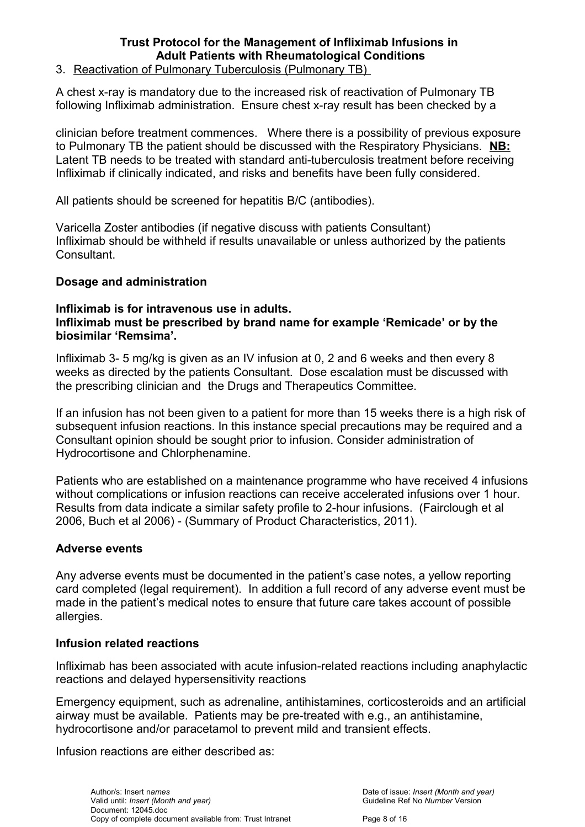3. Reactivation of Pulmonary Tuberculosis (Pulmonary TB)

A chest x-ray is mandatory due to the increased risk of reactivation of Pulmonary TB following Infliximab administration. Ensure chest x-ray result has been checked by a

clinician before treatment commences. Where there is a possibility of previous exposure to Pulmonary TB the patient should be discussed with the Respiratory Physicians. **NB:** Latent TB needs to be treated with standard anti-tuberculosis treatment before receiving Infliximab if clinically indicated, and risks and benefits have been fully considered.

All patients should be screened for hepatitis B/C (antibodies).

Varicella Zoster antibodies (if negative discuss with patients Consultant) Infliximab should be withheld if results unavailable or unless authorized by the patients **Consultant** 

# **Dosage and administration**

# **Infliximab is for intravenous use in adults.**

### **Infliximab must be prescribed by brand name for example 'Remicade' or by the biosimilar 'Remsima'.**

Infliximab 3- 5 mg/kg is given as an IV infusion at 0, 2 and 6 weeks and then every 8 weeks as directed by the patients Consultant. Dose escalation must be discussed with the prescribing clinician and the Drugs and Therapeutics Committee.

If an infusion has not been given to a patient for more than 15 weeks there is a high risk of subsequent infusion reactions. In this instance special precautions may be required and a Consultant opinion should be sought prior to infusion. Consider administration of Hydrocortisone and Chlorphenamine.

Patients who are established on a maintenance programme who have received 4 infusions without complications or infusion reactions can receive accelerated infusions over 1 hour. Results from data indicate a similar safety profile to 2-hour infusions. (Fairclough et al 2006, Buch et al 2006) - (Summary of Product Characteristics, 2011).

# **Adverse events**

Any adverse events must be documented in the patient's case notes, a yellow reporting card completed (legal requirement). In addition a full record of any adverse event must be made in the patient's medical notes to ensure that future care takes account of possible allergies.

### **Infusion related reactions**

Infliximab has been associated with acute infusion-related reactions including anaphylactic reactions and delayed hypersensitivity reactions

Emergency equipment, such as adrenaline, antihistamines, corticosteroids and an artificial airway must be available. Patients may be pre-treated with e.g., an antihistamine, hydrocortisone and/or paracetamol to prevent mild and transient effects.

Infusion reactions are either described as: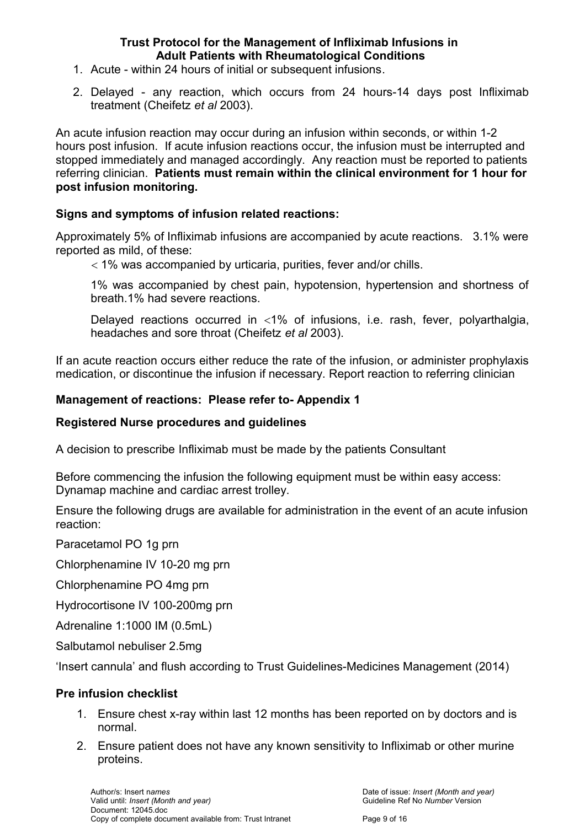- 1. Acute within 24 hours of initial or subsequent infusions.
- 2. Delayed any reaction, which occurs from 24 hours-14 days post Infliximab treatment (Cheifetz *et al* 2003).

An acute infusion reaction may occur during an infusion within seconds, or within 1-2 hours post infusion. If acute infusion reactions occur, the infusion must be interrupted and stopped immediately and managed accordingly. Any reaction must be reported to patients referring clinician. **Patients must remain within the clinical environment for 1 hour for post infusion monitoring.** 

# **Signs and symptoms of infusion related reactions:**

Approximately 5% of Infliximab infusions are accompanied by acute reactions. 3.1% were reported as mild, of these:

1% was accompanied by urticaria, purities, fever and/or chills.

1% was accompanied by chest pain, hypotension, hypertension and shortness of breath.1% had severe reactions.

Delayed reactions occurred in  $< 1\%$  of infusions, i.e. rash, fever, polyarthalgia, headaches and sore throat (Cheifetz *et al* 2003).

If an acute reaction occurs either reduce the rate of the infusion, or administer prophylaxis medication, or discontinue the infusion if necessary. Report reaction to referring clinician

# **Management of reactions: Please refer to- Appendix 1**

### **Registered Nurse procedures and guidelines**

A decision to prescribe Infliximab must be made by the patients Consultant

Before commencing the infusion the following equipment must be within easy access: Dynamap machine and cardiac arrest trolley.

Ensure the following drugs are available for administration in the event of an acute infusion reaction:

Paracetamol PO 1g prn

Chlorphenamine IV 10-20 mg prn

Chlorphenamine PO 4mg prn

Hydrocortisone IV 100-200mg prn

Adrenaline 1:1000 IM (0.5mL)

Salbutamol nebuliser 2.5mg

'Insert cannula' and flush according to Trust Guidelines-Medicines Management (2014)

# **Pre infusion checklist**

- 1. Ensure chest x-ray within last 12 months has been reported on by doctors and is normal.
- 2. Ensure patient does not have any known sensitivity to Infliximab or other murine proteins.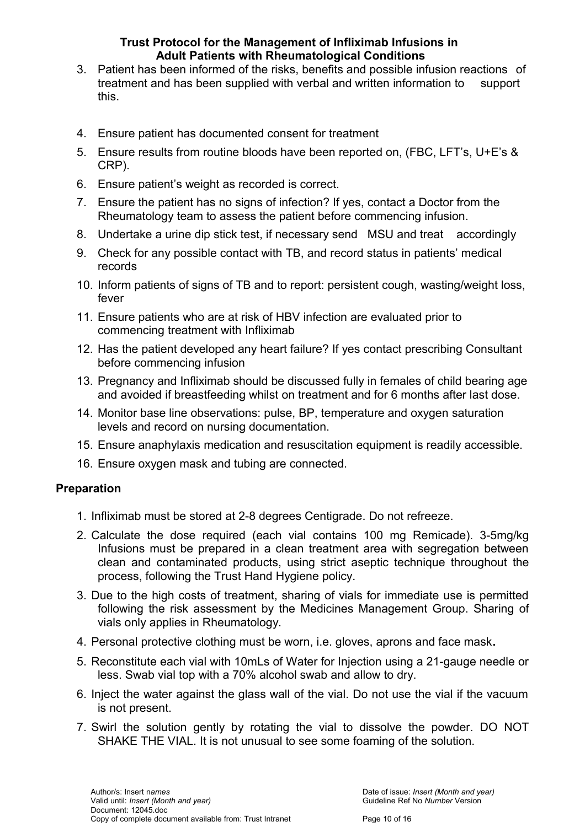- 3. Patient has been informed of the risks, benefits and possible infusion reactions of treatment and has been supplied with verbal and written information to support this.
- 4. Ensure patient has documented consent for treatment
- 5. Ensure results from routine bloods have been reported on, (FBC, LFT's, U+E's & CRP).
- 6. Ensure patient's weight as recorded is correct.
- 7. Ensure the patient has no signs of infection? If yes, contact a Doctor from the Rheumatology team to assess the patient before commencing infusion.
- 8. Undertake a urine dip stick test, if necessary send MSU and treat accordingly
- 9. Check for any possible contact with TB, and record status in patients' medical records
- 10. Inform patients of signs of TB and to report: persistent cough, wasting/weight loss, fever
- 11. Ensure patients who are at risk of HBV infection are evaluated prior to commencing treatment with Infliximab
- 12. Has the patient developed any heart failure? If yes contact prescribing Consultant before commencing infusion
- 13. Pregnancy and Infliximab should be discussed fully in females of child bearing age and avoided if breastfeeding whilst on treatment and for 6 months after last dose.
- 14. Monitor base line observations: pulse, BP, temperature and oxygen saturation levels and record on nursing documentation.
- 15. Ensure anaphylaxis medication and resuscitation equipment is readily accessible.
- 16. Ensure oxygen mask and tubing are connected.

# **Preparation**

- 1. Infliximab must be stored at 2-8 degrees Centigrade. Do not refreeze.
- 2. Calculate the dose required (each vial contains 100 mg Remicade). 3-5mg/kg Infusions must be prepared in a clean treatment area with segregation between clean and contaminated products, using strict aseptic technique throughout the process, following the Trust Hand Hygiene policy.
- 3. Due to the high costs of treatment, sharing of vials for immediate use is permitted following the risk assessment by the Medicines Management Group. Sharing of vials only applies in Rheumatology.
- 4. Personal protective clothing must be worn, i.e. gloves, aprons and face mask**.**
- 5. Reconstitute each vial with 10mLs of Water for Injection using a 21-gauge needle or less. Swab vial top with a 70% alcohol swab and allow to dry.
- 6. Inject the water against the glass wall of the vial. Do not use the vial if the vacuum is not present.
- 7. Swirl the solution gently by rotating the vial to dissolve the powder. DO NOT SHAKE THE VIAL. It is not unusual to see some foaming of the solution.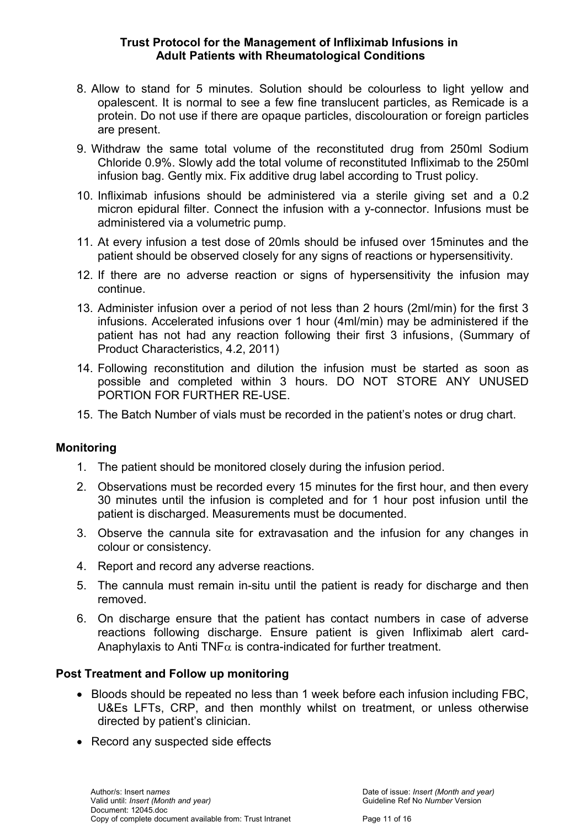- 8. Allow to stand for 5 minutes. Solution should be colourless to light yellow and opalescent. It is normal to see a few fine translucent particles, as Remicade is a protein. Do not use if there are opaque particles, discolouration or foreign particles are present.
- 9. Withdraw the same total volume of the reconstituted drug from 250ml Sodium Chloride 0.9%. Slowly add the total volume of reconstituted Infliximab to the 250ml infusion bag. Gently mix. Fix additive drug label according to Trust policy.
- 10. Infliximab infusions should be administered via a sterile giving set and a 0.2 micron epidural filter. Connect the infusion with a y-connector. Infusions must be administered via a volumetric pump.
- 11. At every infusion a test dose of 20mls should be infused over 15minutes and the patient should be observed closely for any signs of reactions or hypersensitivity.
- 12. If there are no adverse reaction or signs of hypersensitivity the infusion may continue.
- 13. Administer infusion over a period of not less than 2 hours (2ml/min) for the first 3 infusions. Accelerated infusions over 1 hour (4ml/min) may be administered if the patient has not had any reaction following their first 3 infusions, (Summary of Product Characteristics, 4.2, 2011)
- 14. Following reconstitution and dilution the infusion must be started as soon as possible and completed within 3 hours. DO NOT STORE ANY UNUSED PORTION FOR FURTHER RE-USE.
- 15. The Batch Number of vials must be recorded in the patient's notes or drug chart.

# **Monitoring**

- 1. The patient should be monitored closely during the infusion period.
- 2. Observations must be recorded every 15 minutes for the first hour, and then every 30 minutes until the infusion is completed and for 1 hour post infusion until the patient is discharged. Measurements must be documented.
- 3. Observe the cannula site for extravasation and the infusion for any changes in colour or consistency.
- 4. Report and record any adverse reactions.
- 5. The cannula must remain in-situ until the patient is ready for discharge and then removed.
- 6. On discharge ensure that the patient has contact numbers in case of adverse reactions following discharge. Ensure patient is given Infliximab alert card-Anaphylaxis to Anti TNF $\alpha$  is contra-indicated for further treatment.

### **Post Treatment and Follow up monitoring**

- Bloods should be repeated no less than 1 week before each infusion including FBC, U&Es LFTs, CRP, and then monthly whilst on treatment, or unless otherwise directed by patient's clinician.
- Record any suspected side effects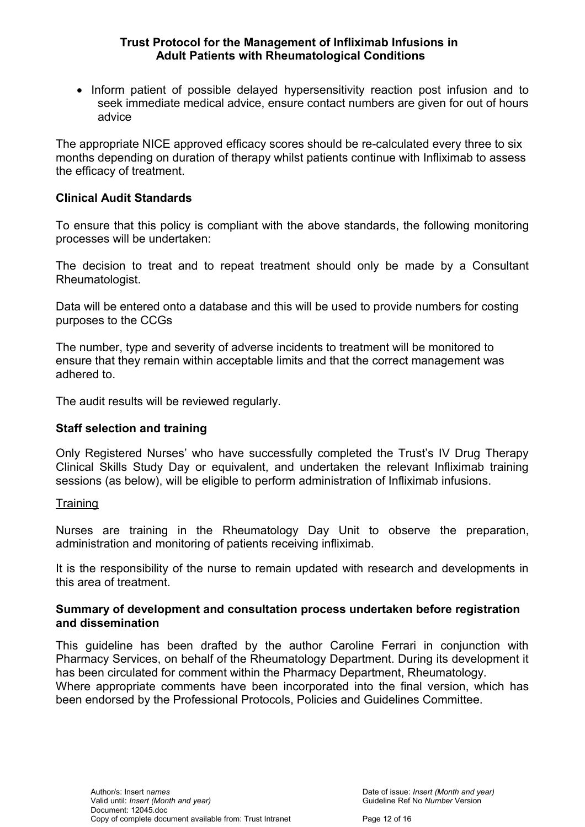• Inform patient of possible delayed hypersensitivity reaction post infusion and to seek immediate medical advice, ensure contact numbers are given for out of hours advice

The appropriate NICE approved efficacy scores should be re-calculated every three to six months depending on duration of therapy whilst patients continue with Infliximab to assess the efficacy of treatment.

### **Clinical Audit Standards**

To ensure that this policy is compliant with the above standards, the following monitoring processes will be undertaken:

The decision to treat and to repeat treatment should only be made by a Consultant Rheumatologist.

Data will be entered onto a database and this will be used to provide numbers for costing purposes to the CCGs

The number, type and severity of adverse incidents to treatment will be monitored to ensure that they remain within acceptable limits and that the correct management was adhered to.

The audit results will be reviewed regularly.

# **Staff selection and training**

Only Registered Nurses' who have successfully completed the Trust's IV Drug Therapy Clinical Skills Study Day or equivalent, and undertaken the relevant Infliximab training sessions (as below), will be eligible to perform administration of Infliximab infusions.

### **Training**

Nurses are training in the Rheumatology Day Unit to observe the preparation, administration and monitoring of patients receiving infliximab.

It is the responsibility of the nurse to remain updated with research and developments in this area of treatment.

### **Summary of development and consultation process undertaken before registration and dissemination**

This guideline has been drafted by the author Caroline Ferrari in conjunction with Pharmacy Services, on behalf of the Rheumatology Department. During its development it has been circulated for comment within the Pharmacy Department, Rheumatology. Where appropriate comments have been incorporated into the final version, which has been endorsed by the Professional Protocols, Policies and Guidelines Committee.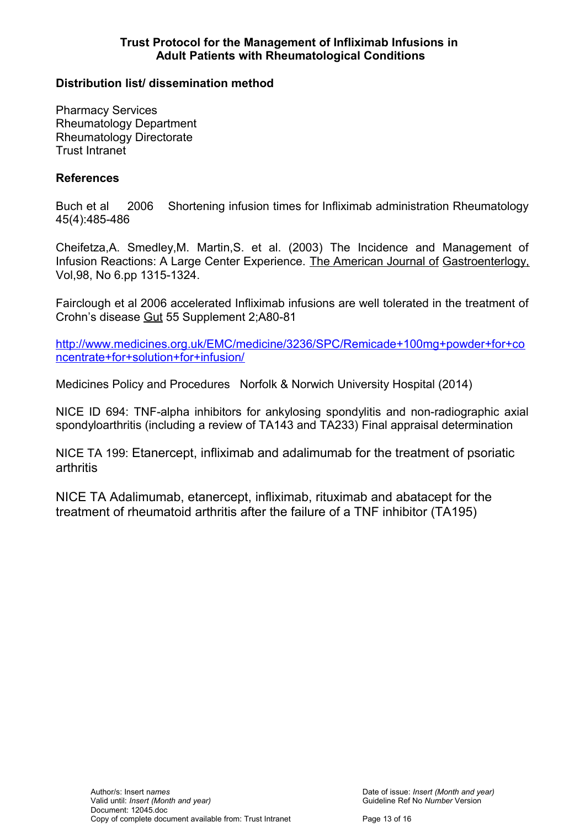### **Distribution list/ dissemination method**

Pharmacy Services Rheumatology Department Rheumatology Directorate Trust Intranet

### **References**

Buch et al 2006 Shortening infusion times for Infliximab administration Rheumatology 45(4):485-486

Cheifetza,A. Smedley,M. Martin,S. et al. (2003) The Incidence and Management of Infusion Reactions: A Large Center Experience. The American Journal of Gastroenterlogy, Vol,98, No 6.pp 1315-1324.

Fairclough et al 2006 accelerated Infliximab infusions are well tolerated in the treatment of Crohn's disease Gut 55 Supplement 2;A80-81

[http://www.medicines.org.uk/EMC/medicine/3236/SPC/Remicade+100mg+powder+for+co](http://www.medicines.org.uk/EMC/medicine/3236/SPC/Remicade+100mg+powder+for+concentrate+for+solution+for+infusion/) [ncentrate+for+solution+for+infusion/](http://www.medicines.org.uk/EMC/medicine/3236/SPC/Remicade+100mg+powder+for+concentrate+for+solution+for+infusion/)

Medicines Policy and Procedures Norfolk & Norwich University Hospital (2014)

NICE ID 694: TNF-alpha inhibitors for ankylosing spondylitis and non-radiographic axial spondyloarthritis (including a review of TA143 and TA233) Final appraisal determination

NICE TA 199: Etanercept, infliximab and adalimumab for the treatment of psoriatic arthritis

NICE TA Adalimumab, etanercept, infliximab, rituximab and abatacept for the treatment of rheumatoid arthritis after the failure of a TNF inhibitor (TA195)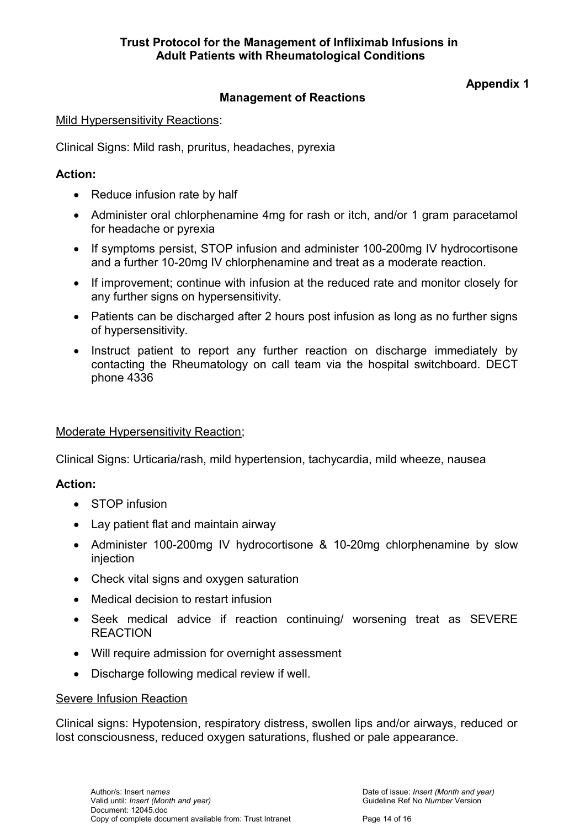# **Appendix 1**

### **Management of Reactions**

### Mild Hypersensitivity Reactions:

Clinical Signs: Mild rash, pruritus, headaches, pyrexia

### **Action:**

- Reduce infusion rate by half
- Administer oral chlorphenamine 4mg for rash or itch, and/or 1 gram paracetamol for headache or pyrexia
- If symptoms persist, STOP infusion and administer 100-200mg IV hydrocortisone and a further 10-20mg IV chlorphenamine and treat as a moderate reaction.
- If improvement; continue with infusion at the reduced rate and monitor closely for any further signs on hypersensitivity.
- Patients can be discharged after 2 hours post infusion as long as no further signs of hypersensitivity.
- Instruct patient to report any further reaction on discharge immediately by contacting the Rheumatology on call team via the hospital switchboard. DECT phone 4336

### Moderate Hypersensitivity Reaction;

Clinical Signs: Urticaria/rash, mild hypertension, tachycardia, mild wheeze, nausea

### **Action:**

- STOP infusion
- Lay patient flat and maintain airway
- Administer 100-200mg IV hydrocortisone & 10-20mg chlorphenamine by slow injection
- Check vital signs and oxygen saturation
- Medical decision to restart infusion
- Seek medical advice if reaction continuing/ worsening treat as SEVERE REACTION
- Will require admission for overnight assessment
- Discharge following medical review if well.

### Severe Infusion Reaction

Clinical signs: Hypotension, respiratory distress, swollen lips and/or airways, reduced or lost consciousness, reduced oxygen saturations, flushed or pale appearance.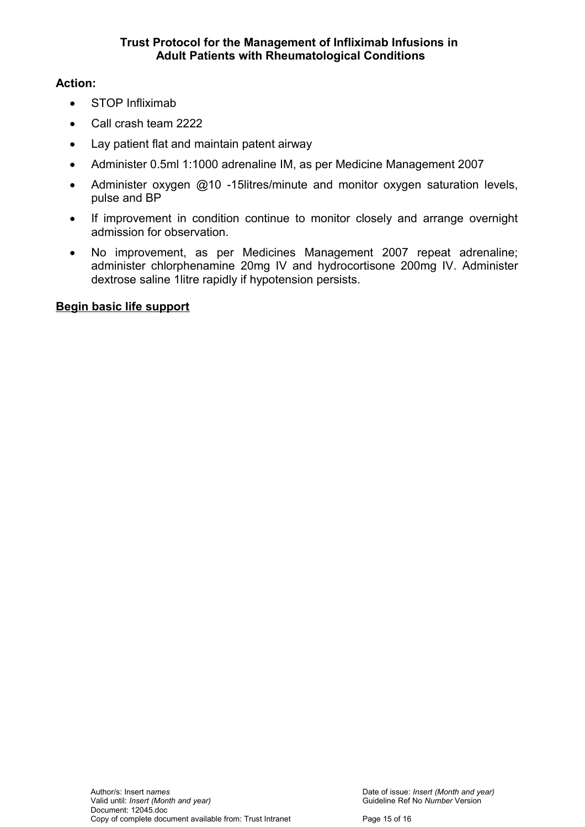# **Action:**

- STOP Infliximab
- Call crash team 2222
- Lay patient flat and maintain patent airway
- Administer 0.5ml 1:1000 adrenaline IM, as per Medicine Management 2007
- Administer oxygen @10 -15litres/minute and monitor oxygen saturation levels, pulse and BP
- If improvement in condition continue to monitor closely and arrange overnight admission for observation.
- No improvement, as per Medicines Management 2007 repeat adrenaline; administer chlorphenamine 20mg IV and hydrocortisone 200mg IV. Administer dextrose saline 1litre rapidly if hypotension persists.

# **Begin basic life support**